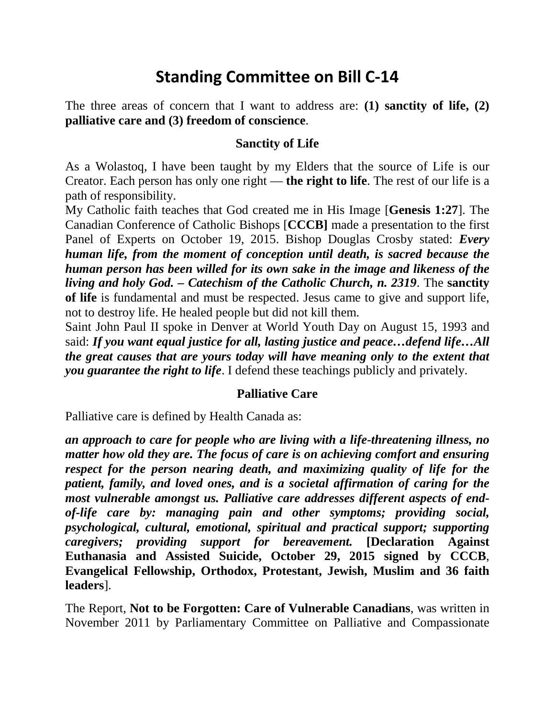# **Standing Committee on Bill C-14**

The three areas of concern that I want to address are: **(1) sanctity of life, (2) palliative care and (3) freedom of conscience**.

### **Sanctity of Life**

As a Wolastoq, I have been taught by my Elders that the source of Life is our Creator. Each person has only one right — **the right to life**. The rest of our life is a path of responsibility.

My Catholic faith teaches that God created me in His Image [**Genesis 1:27**]. The Canadian Conference of Catholic Bishops [**CCCB]** made a presentation to the first Panel of Experts on October 19, 2015. Bishop Douglas Crosby stated: *Every human life, from the moment of conception until death, is sacred because the human person has been willed for its own sake in the image and likeness of the living and holy God. – Catechism of the Catholic Church, n. 2319*. The **sanctity of life** is fundamental and must be respected. Jesus came to give and support life, not to destroy life. He healed people but did not kill them.

Saint John Paul II spoke in Denver at World Youth Day on August 15, 1993 and said: *If you want equal justice for all, lasting justice and peace…defend life…All the great causes that are yours today will have meaning only to the extent that you guarantee the right to life*. I defend these teachings publicly and privately.

#### **Palliative Care**

Palliative care is defined by Health Canada as:

*an approach to care for people who are living with a life-threatening illness, no matter how old they are. The focus of care is on achieving comfort and ensuring respect for the person nearing death, and maximizing quality of life for the patient, family, and loved ones, and is a societal affirmation of caring for the most vulnerable amongst us. Palliative care addresses different aspects of endof-life care by: managing pain and other symptoms; providing social, psychological, cultural, emotional, spiritual and practical support; supporting caregivers; providing support for bereavement.* **[Declaration Against Euthanasia and Assisted Suicide, October 29, 2015 signed by CCCB**, **Evangelical Fellowship, Orthodox, Protestant, Jewish, Muslim and 36 faith leaders**].

The Report, **Not to be Forgotten: Care of Vulnerable Canadians**, was written in November 2011 by Parliamentary Committee on Palliative and Compassionate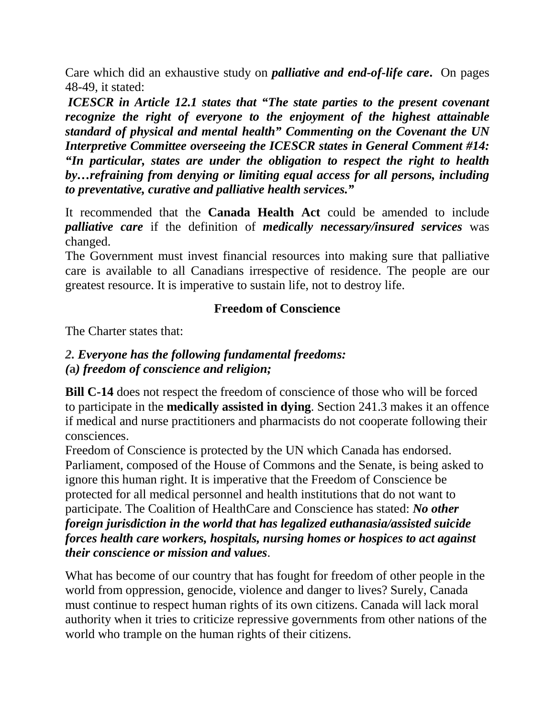Care which did an exhaustive study on *palliative and end-of-life care***.** On pages 48-49, it stated:

*ICESCR in Article 12.1 states that "The state parties to the present covenant recognize the right of everyone to the enjoyment of the highest attainable standard of physical and mental health" Commenting on the Covenant the UN Interpretive Committee overseeing the ICESCR states in General Comment #14: "In particular, states are under the obligation to respect the right to health by…refraining from denying or limiting equal access for all persons, including to preventative, curative and palliative health services."*

It recommended that the **Canada Health Act** could be amended to include *palliative care* if the definition of *medically necessary/insured services* was changed.

The Government must invest financial resources into making sure that palliative care is available to all Canadians irrespective of residence. The people are our greatest resource. It is imperative to sustain life, not to destroy life.

## **Freedom of Conscience**

The Charter states that:

## *2. Everyone has the following fundamental freedoms: (***a***) freedom of conscience and religion;*

**Bill C-14** does not respect the freedom of conscience of those who will be forced to participate in the **medically assisted in dying**. Section 241.3 makes it an offence if medical and nurse practitioners and pharmacists do not cooperate following their consciences.

Freedom of Conscience is protected by the UN which Canada has endorsed. Parliament, composed of the House of Commons and the Senate, is being asked to ignore this human right. It is imperative that the Freedom of Conscience be protected for all medical personnel and health institutions that do not want to participate. The Coalition of HealthCare and Conscience has stated: *No other foreign jurisdiction in the world that has legalized euthanasia/assisted suicide forces health care workers, hospitals, nursing homes or hospices to act against their conscience or mission and values*.

What has become of our country that has fought for freedom of other people in the world from oppression, genocide, violence and danger to lives? Surely, Canada must continue to respect human rights of its own citizens. Canada will lack moral authority when it tries to criticize repressive governments from other nations of the world who trample on the human rights of their citizens.